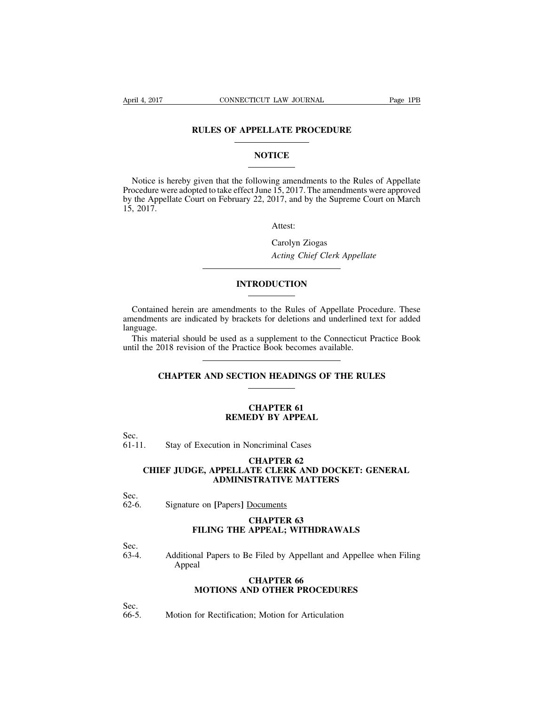# **RULES OF APPELLATE PROCEDURE**

# **NOTICE**

Notice is hereby given that the following amendments to the Rules of Appellate Procedure were adopted to take effect June 15, 2017. The amendments were approved by the Appellate Court on February 22, 2017, and by the Supreme Court on March 15, 2017.

Attest:

Carolyn Ziogas *Acting Chief Clerk Appellate*

# **INTRODUCTION**

Contained herein are amendments to the Rules of Appellate Procedure. These amendments are indicated by brackets for deletions and underlined text for added language.

This material should be used as a supplement to the Connecticut Practice Book until the 2018 revision of the Practice Book becomes available.

# **CHAPTER AND SECTION HEADINGS OF THE RULES**

### **CHAPTER 61 REMEDY BY APPEAL**

Sec.<br>61-11. Stay of Execution in Noncriminal Cases

# **CHAPTER 62 CHIEF JUDGE, APPELLATE CLERK AND DOCKET: GENERAL ADMINISTRATIVE MATTERS**

# Sec.<br>62-6.

62-6. Signature on **[**Papers**]** Documents

# **CHAPTER 63 FILING THE APPEAL; WITHDRAWALS**

Sec.<br>63-4. 63-4. Additional Papers to Be Filed by Appellant and Appellee when Filing Appeal

# **CHAPTER 66 MOTIONS AND OTHER PROCEDURES**

Sec.<br>66-5.

Motion for Rectification: Motion for Articulation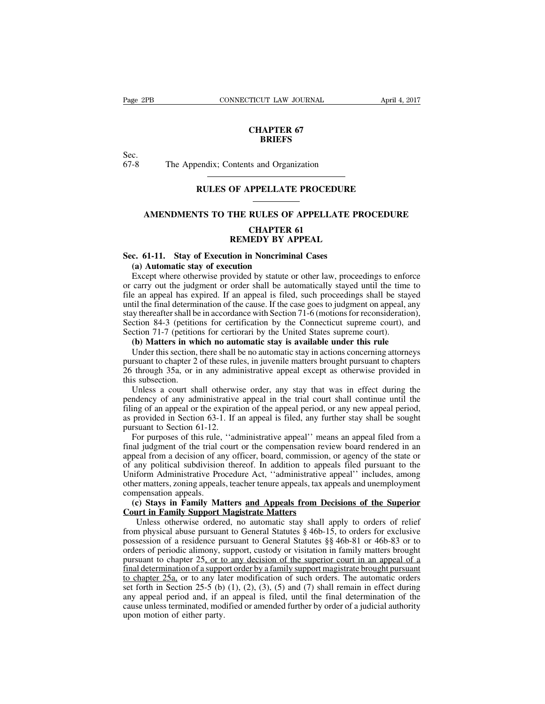# **CHAPTER 67 BRIEFS**

Sec.<br>67-8

The Appendix; Contents and Organization

# **RULES OF APPELLATE PROCEDURE**

# **AMENDMENTS TO THE RULES OF APPELLATE PROCEDURE**

# **CHAPTER 61 REMEDY BY APPEAL**

# **Sec. 61-11. Stay of Execution in Noncriminal Cases**

### **(a) Automatic stay of execution**

Except where otherwise provided by statute or other law, proceedings to enforce or carry out the judgment or order shall be automatically stayed until the time to file an appeal has expired. If an appeal is filed, such proceedings shall be stayed until the final determination of the cause. If the case goes to judgment on appeal, any stay thereafter shall be in accordance with Section 71-6 (motions for reconsideration), Section 84-3 (petitions for certification by the Connecticut supreme court), and Section 71-7 (petitions for certiorari by the United States supreme court).

# **(b) Matters in which no automatic stay is available under this rule**

Under this section, there shall be no automatic stay in actions concerning attorneys pursuant to chapter 2 of these rules, in juvenile matters brought pursuant to chapters 26 through 35a, or in any administrative appeal except as otherwise provided in this subsection.

Unless a court shall otherwise order, any stay that was in effect during the pendency of any administrative appeal in the trial court shall continue until the filing of an appeal or the expiration of the appeal period, or any new appeal period, as provided in Section 63-1. If an appeal is filed, any further stay shall be sought pursuant to Section 61-12.

For purposes of this rule, ''administrative appeal'' means an appeal filed from a final judgment of the trial court or the compensation review board rendered in an appeal from a decision of any officer, board, commission, or agency of the state or of any political subdivision thereof. In addition to appeals filed pursuant to the Uniform Administrative Procedure Act, ''administrative appeal'' includes, among other matters, zoning appeals, teacher tenure appeals, tax appeals and unemployment compensation appeals.

# **(c) Stays in Family Matters and Appeals from Decisions of the Superior Court in Family Support Magistrate Matters**

Unless otherwise ordered, no automatic stay shall apply to orders of relief from physical abuse pursuant to General Statutes § 46b-15, to orders for exclusive possession of a residence pursuant to General Statutes §§ 46b-81 or 46b-83 or to orders of periodic alimony, support, custody or visitation in family matters brought pursuant to chapter 25, or to any decision of the superior court in an appeal of a final determination of a support order by a family support magistrate brought pursuant to chapter 25a, or to any later modification of such orders. The automatic orders set forth in Section 25-5 (b) (1), (2), (3), (5) and (7) shall remain in effect during any appeal period and, if an appeal is filed, until the final determination of the cause unless terminated, modified or amended further by order of a judicial authority upon motion of either party.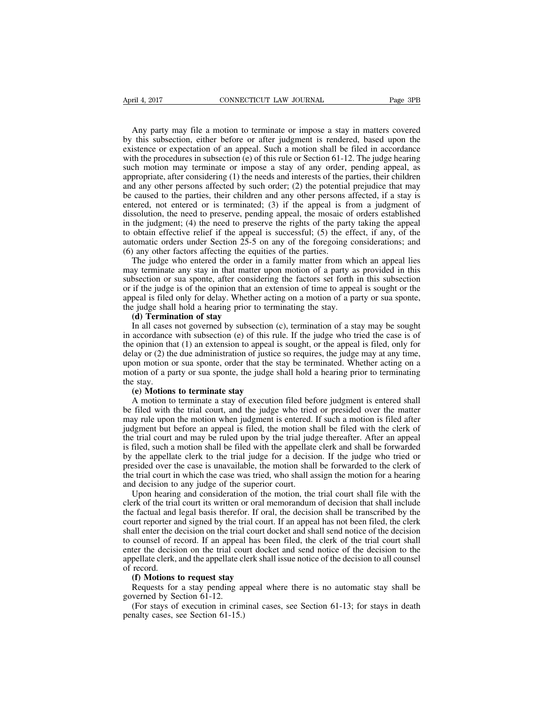Any party may file a motion to terminate or impose a stay in matters covered by this subsection, either before or after judgment is rendered, based upon the existence or expectation of an appeal. Such a motion shall be filed in accordance with the procedures in subsection (e) of this rule or Section 61-12. The judge hearing such motion may terminate or impose a stay of any order, pending appeal, as appropriate, after considering (1) the needs and interests of the parties, their children and any other persons affected by such order; (2) the potential prejudice that may be caused to the parties, their children and any other persons affected, if a stay is entered, not entered or is terminated; (3) if the appeal is from a judgment of dissolution, the need to preserve, pending appeal, the mosaic of orders established in the judgment; (4) the need to preserve the rights of the party taking the appeal to obtain effective relief if the appeal is successful; (5) the effect, if any, of the automatic orders under Section 25-5 on any of the foregoing considerations; and (6) any other factors affecting the equities of the parties.

The judge who entered the order in a family matter from which an appeal lies may terminate any stay in that matter upon motion of a party as provided in this subsection or sua sponte, after considering the factors set forth in this subsection or if the judge is of the opinion that an extension of time to appeal is sought or the appeal is filed only for delay. Whether acting on a motion of a party or sua sponte, the judge shall hold a hearing prior to terminating the stay.

#### **(d) Termination of stay**

In all cases not governed by subsection (c), termination of a stay may be sought in accordance with subsection (e) of this rule. If the judge who tried the case is of the opinion that (1) an extension to appeal is sought, or the appeal is filed, only for delay or (2) the due administration of justice so requires, the judge may at any time, upon motion or sua sponte, order that the stay be terminated. Whether acting on a motion of a party or sua sponte, the judge shall hold a hearing prior to terminating the stay.

#### **(e) Motions to terminate stay**

A motion to terminate a stay of execution filed before judgment is entered shall be filed with the trial court, and the judge who tried or presided over the matter may rule upon the motion when judgment is entered. If such a motion is filed after judgment but before an appeal is filed, the motion shall be filed with the clerk of the trial court and may be ruled upon by the trial judge thereafter. After an appeal is filed, such a motion shall be filed with the appellate clerk and shall be forwarded by the appellate clerk to the trial judge for a decision. If the judge who tried or presided over the case is unavailable, the motion shall be forwarded to the clerk of the trial court in which the case was tried, who shall assign the motion for a hearing and decision to any judge of the superior court.

Upon hearing and consideration of the motion, the trial court shall file with the clerk of the trial court its written or oral memorandum of decision that shall include the factual and legal basis therefor. If oral, the decision shall be transcribed by the court reporter and signed by the trial court. If an appeal has not been filed, the clerk shall enter the decision on the trial court docket and shall send notice of the decision to counsel of record. If an appeal has been filed, the clerk of the trial court shall enter the decision on the trial court docket and send notice of the decision to the appellate clerk, and the appellate clerk shall issue notice of the decision to all counsel of record.

#### **(f) Motions to request stay**

Requests for a stay pending appeal where there is no automatic stay shall be governed by Section 61-12.

(For stays of execution in criminal cases, see Section 61-13; for stays in death penalty cases, see Section 61-15.)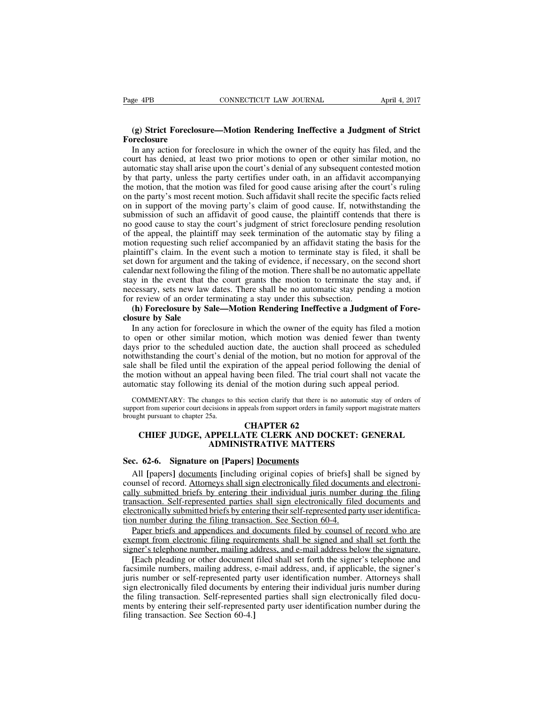# **(g) Strict Foreclosure—Motion Rendering Ineffective a Judgment of Strict Foreclosure**

In any action for foreclosure in which the owner of the equity has filed, and the court has denied, at least two prior motions to open or other similar motion, no automatic stay shall arise upon the court's denial of any subsequent contested motion by that party, unless the party certifies under oath, in an affidavit accompanying the motion, that the motion was filed for good cause arising after the court's ruling on the party's most recent motion. Such affidavit shall recite the specific facts relied on in support of the moving party's claim of good cause. If, notwithstanding the submission of such an affidavit of good cause, the plaintiff contends that there is no good cause to stay the court's judgment of strict foreclosure pending resolution of the appeal, the plaintiff may seek termination of the automatic stay by filing a motion requesting such relief accompanied by an affidavit stating the basis for the plaintiff's claim. In the event such a motion to terminate stay is filed, it shall be set down for argument and the taking of evidence, if necessary, on the second short calendar next following the filing of the motion. There shall be no automatic appellate stay in the event that the court grants the motion to terminate the stay and, if necessary, sets new law dates. There shall be no automatic stay pending a motion for review of an order terminating a stay under this subsection.

# **(h) Foreclosure by Sale—Motion Rendering Ineffective a Judgment of Foreclosure by Sale**

In any action for foreclosure in which the owner of the equity has filed a motion to open or other similar motion, which motion was denied fewer than twenty days prior to the scheduled auction date, the auction shall proceed as scheduled notwithstanding the court's denial of the motion, but no motion for approval of the sale shall be filed until the expiration of the appeal period following the denial of the motion without an appeal having been filed. The trial court shall not vacate the automatic stay following its denial of the motion during such appeal period.

COMMENTARY: The changes to this section clarify that there is no automatic stay of orders of support from superior court decisions in appeals from support orders in family support magistrate matters brought pursuant to chapter 25a.

# **CHAPTER 62 CHIEF JUDGE, APPELLATE CLERK AND DOCKET: GENERAL ADMINISTRATIVE MATTERS**

# **Sec. 62-6. Signature on [Papers] Documents**

All **[**papers**]** documents **[**including original copies of briefs**]** shall be signed by counsel of record. Attorneys shall sign electronically filed documents and electronically submitted briefs by entering their individual juris number during the filing transaction. Self-represented parties shall sign electronically filed documents and electronically submitted briefs by entering their self-represented party user identification number during the filing transaction. See Section 60-4.

Paper briefs and appendices and documents filed by counsel of record who are exempt from electronic filing requirements shall be signed and shall set forth the signer's telephone number, mailing address, and e-mail address below the signature.

**[**Each pleading or other document filed shall set forth the signer's telephone and facsimile numbers, mailing address, e-mail address, and, if applicable, the signer's juris number or self-represented party user identification number. Attorneys shall sign electronically filed documents by entering their individual juris number during the filing transaction. Self-represented parties shall sign electronically filed documents by entering their self-represented party user identification number during the filing transaction. See Section 60-4.**]**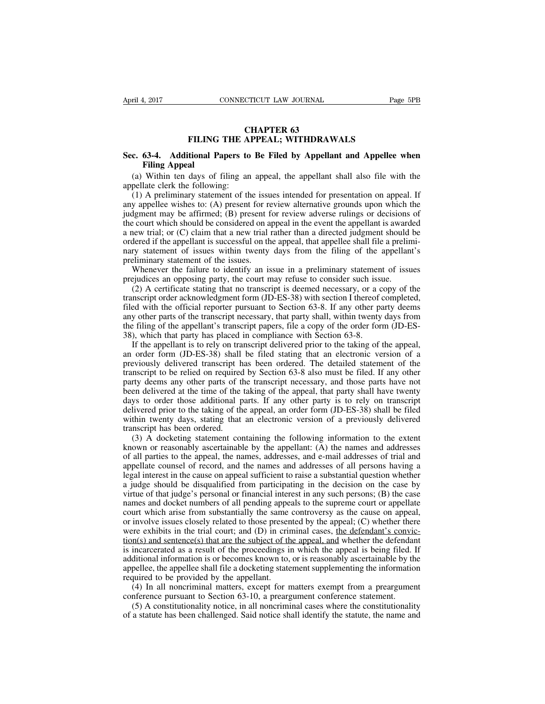# **CHAPTER 63 FILING THE APPEAL; WITHDRAWALS**

# **Sec. 63-4. Additional Papers to Be Filed by Appellant and Appellee when Filing Appeal**

(a) Within ten days of filing an appeal, the appellant shall also file with the appellate clerk the following:

(1) A preliminary statement of the issues intended for presentation on appeal. If any appellee wishes to: (A) present for review alternative grounds upon which the judgment may be affirmed; (B) present for review adverse rulings or decisions of the court which should be considered on appeal in the event the appellant is awarded a new trial; or (C) claim that a new trial rather than a directed judgment should be ordered if the appellant is successful on the appeal, that appellee shall file a preliminary statement of issues within twenty days from the filing of the appellant's preliminary statement of the issues.

Whenever the failure to identify an issue in a preliminary statement of issues prejudices an opposing party, the court may refuse to consider such issue.

(2) A certificate stating that no transcript is deemed necessary, or a copy of the transcript order acknowledgment form (JD-ES-38) with section I thereof completed, filed with the official reporter pursuant to Section 63-8. If any other party deems any other parts of the transcript necessary, that party shall, within twenty days from the filing of the appellant's transcript papers, file a copy of the order form (JD-ES-38), which that party has placed in compliance with Section 63-8.

If the appellant is to rely on transcript delivered prior to the taking of the appeal, an order form (JD-ES-38) shall be filed stating that an electronic version of a previously delivered transcript has been ordered. The detailed statement of the transcript to be relied on required by Section 63-8 also must be filed. If any other party deems any other parts of the transcript necessary, and those parts have not been delivered at the time of the taking of the appeal, that party shall have twenty days to order those additional parts. If any other party is to rely on transcript delivered prior to the taking of the appeal, an order form (JD-ES-38) shall be filed within twenty days, stating that an electronic version of a previously delivered transcript has been ordered.

(3) A docketing statement containing the following information to the extent known or reasonably ascertainable by the appellant: (A) the names and addresses of all parties to the appeal, the names, addresses, and e-mail addresses of trial and appellate counsel of record, and the names and addresses of all persons having a legal interest in the cause on appeal sufficient to raise a substantial question whether a judge should be disqualified from participating in the decision on the case by virtue of that judge's personal or financial interest in any such persons; (B) the case names and docket numbers of all pending appeals to the supreme court or appellate court which arise from substantially the same controversy as the cause on appeal, or involve issues closely related to those presented by the appeal; (C) whether there were exhibits in the trial court; and (D) in criminal cases, the defendant's conviction(s) and sentence(s) that are the subject of the appeal, and whether the defendant is incarcerated as a result of the proceedings in which the appeal is being filed. If additional information is or becomes known to, or is reasonably ascertainable by the appellee, the appellee shall file a docketing statement supplementing the information required to be provided by the appellant.

(4) In all noncriminal matters, except for matters exempt from a preargument conference pursuant to Section 63-10, a preargument conference statement.

(5) A constitutionality notice, in all noncriminal cases where the constitutionality of a statute has been challenged. Said notice shall identify the statute, the name and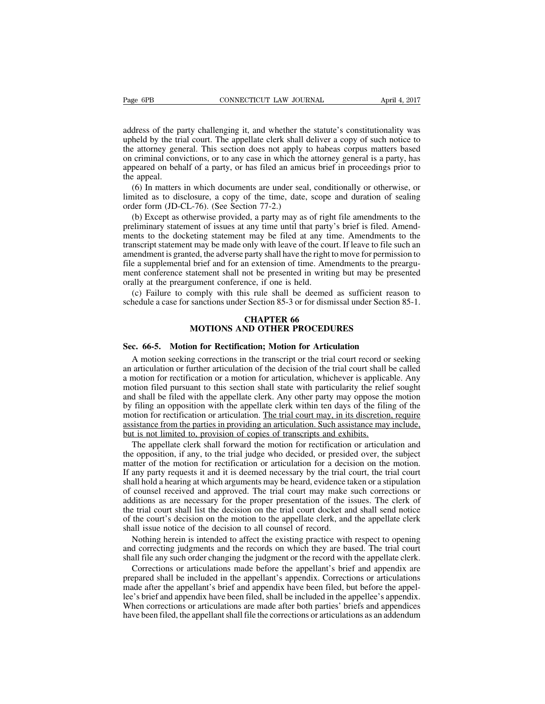address of the party challenging it, and whether the statute's constitutionality was upheld by the trial court. The appellate clerk shall deliver a copy of such notice to the attorney general. This section does not apply to habeas corpus matters based on criminal convictions, or to any case in which the attorney general is a party, has appeared on behalf of a party, or has filed an amicus brief in proceedings prior to the appeal.

(6) In matters in which documents are under seal, conditionally or otherwise, or limited as to disclosure, a copy of the time, date, scope and duration of sealing order form (JD-CL-76). (See Section 77-2.)

(b) Except as otherwise provided, a party may as of right file amendments to the preliminary statement of issues at any time until that party's brief is filed. Amendments to the docketing statement may be filed at any time. Amendments to the transcript statement may be made only with leave of the court. If leave to file such an amendment is granted, the adverse party shall have the right to move for permission to file a supplemental brief and for an extension of time. Amendments to the preargument conference statement shall not be presented in writing but may be presented orally at the preargument conference, if one is held.

(c) Failure to comply with this rule shall be deemed as sufficient reason to schedule a case for sanctions under Section 85-3 or for dismissal under Section 85-1.

# **CHAPTER 66 MOTIONS AND OTHER PROCEDURES**

#### **Sec. 66-5. Motion for Rectification; Motion for Articulation**

A motion seeking corrections in the transcript or the trial court record or seeking an articulation or further articulation of the decision of the trial court shall be called a motion for rectification or a motion for articulation, whichever is applicable. Any motion filed pursuant to this section shall state with particularity the relief sought and shall be filed with the appellate clerk. Any other party may oppose the motion by filing an opposition with the appellate clerk within ten days of the filing of the motion for rectification or articulation. The trial court may, in its discretion, require assistance from the parties in providing an articulation. Such assistance may include, but is not limited to, provision of copies of transcripts and exhibits.

The appellate clerk shall forward the motion for rectification or articulation and the opposition, if any, to the trial judge who decided, or presided over, the subject matter of the motion for rectification or articulation for a decision on the motion. If any party requests it and it is deemed necessary by the trial court, the trial court shall hold a hearing at which arguments may be heard, evidence taken or a stipulation of counsel received and approved. The trial court may make such corrections or additions as are necessary for the proper presentation of the issues. The clerk of the trial court shall list the decision on the trial court docket and shall send notice of the court's decision on the motion to the appellate clerk, and the appellate clerk shall issue notice of the decision to all counsel of record.

Nothing herein is intended to affect the existing practice with respect to opening and correcting judgments and the records on which they are based. The trial court shall file any such order changing the judgment or the record with the appellate clerk.

Corrections or articulations made before the appellant's brief and appendix are prepared shall be included in the appellant's appendix. Corrections or articulations made after the appellant's brief and appendix have been filed, but before the appellee's brief and appendix have been filed, shall be included in the appellee's appendix. When corrections or articulations are made after both parties' briefs and appendices have been filed, the appellant shall file the corrections or articulations as an addendum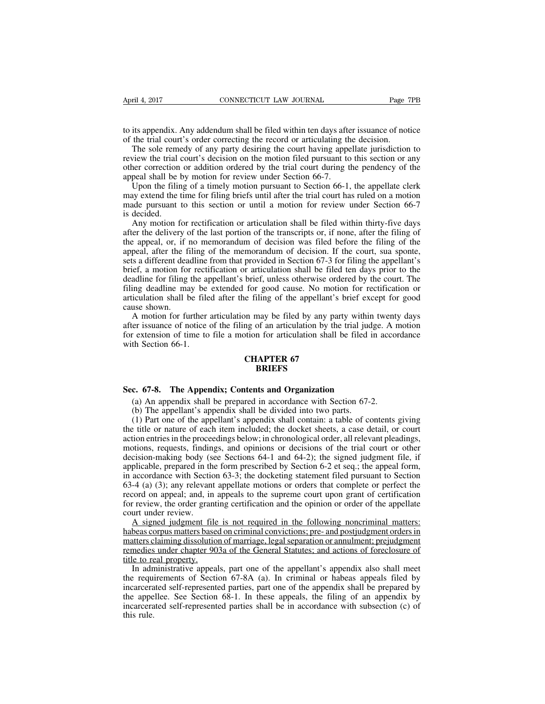to its appendix. Any addendum shall be filed within ten days after issuance of notice of the trial court's order correcting the record or articulating the decision.

The sole remedy of any party desiring the court having appellate jurisdiction to review the trial court's decision on the motion filed pursuant to this section or any other correction or addition ordered by the trial court during the pendency of the appeal shall be by motion for review under Section 66-7.

Upon the filing of a timely motion pursuant to Section 66-1, the appellate clerk may extend the time for filing briefs until after the trial court has ruled on a motion made pursuant to this section or until a motion for review under Section 66-7 is decided.

Any motion for rectification or articulation shall be filed within thirty-five days after the delivery of the last portion of the transcripts or, if none, after the filing of the appeal, or, if no memorandum of decision was filed before the filing of the appeal, after the filing of the memorandum of decision. If the court, sua sponte, sets a different deadline from that provided in Section 67-3 for filing the appellant's brief, a motion for rectification or articulation shall be filed ten days prior to the deadline for filing the appellant's brief, unless otherwise ordered by the court. The filing deadline may be extended for good cause. No motion for rectification or articulation shall be filed after the filing of the appellant's brief except for good cause shown.

A motion for further articulation may be filed by any party within twenty days after issuance of notice of the filing of an articulation by the trial judge. A motion for extension of time to file a motion for articulation shall be filed in accordance with Section 66-1.

# **CHAPTER 67 BRIEFS**

# **Sec. 67-8. The Appendix; Contents and Organization**

(a) An appendix shall be prepared in accordance with Section 67-2.

(b) The appellant's appendix shall be divided into two parts.

(1) Part one of the appellant's appendix shall contain: a table of contents giving the title or nature of each item included; the docket sheets, a case detail, or court action entriesin the proceedings below; in chronological order, all relevant pleadings, motions, requests, findings, and opinions or decisions of the trial court or other decision-making body (see Sections 64-1 and 64-2); the signed judgment file, if applicable, prepared in the form prescribed by Section 6-2 et seq.; the appeal form, in accordance with Section 63-3; the docketing statement filed pursuant to Section 63-4 (a) (3); any relevant appellate motions or orders that complete or perfect the record on appeal; and, in appeals to the supreme court upon grant of certification for review, the order granting certification and the opinion or order of the appellate court under review.

A signed judgment file is not required in the following noncriminal matters: habeas corpus matters based on criminal convictions; pre- and postjudgment orders in matters claiming dissolution of marriage, legal separation or annulment; prejudgment remedies under chapter 903a of the General Statutes; and actions of foreclosure of title to real property.

In administrative appeals, part one of the appellant's appendix also shall meet the requirements of Section 67-8A (a). In criminal or habeas appeals filed by incarcerated self-represented parties, part one of the appendix shall be prepared by the appellee. See Section 68-1. In these appeals, the filing of an appendix by incarcerated self-represented parties shall be in accordance with subsection (c) of this rule.